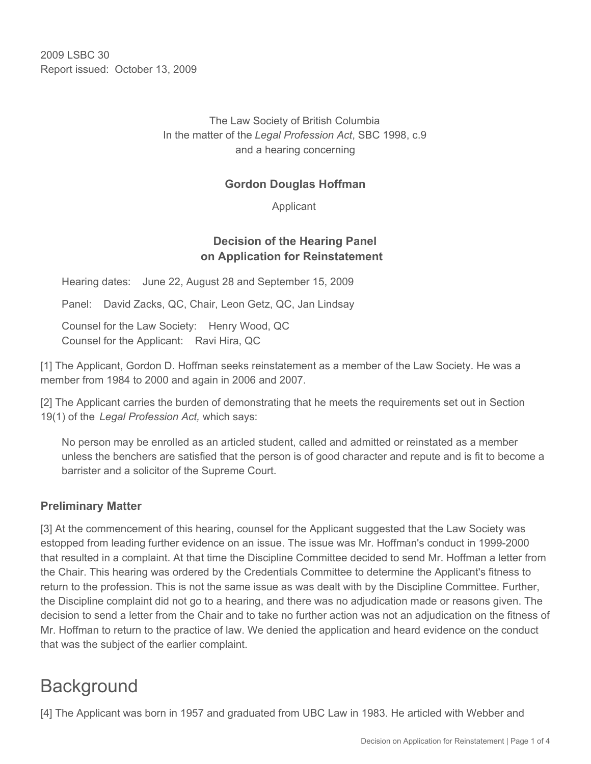2009 LSBC 30 Report issued: October 13, 2009

> The Law Society of British Columbia In the matter of the *Legal Profession Act*, SBC 1998, c.9 and a hearing concerning

### **Gordon Douglas Hoffman**

Applicant

## **Decision of the Hearing Panel on Application for Reinstatement**

Hearing dates: June 22, August 28 and September 15, 2009

Panel: David Zacks, QC, Chair, Leon Getz, QC, Jan Lindsay

Counsel for the Law Society: Henry Wood, QC Counsel for the Applicant: Ravi Hira, QC

[1] The Applicant, Gordon D. Hoffman seeks reinstatement as a member of the Law Society. He was a member from 1984 to 2000 and again in 2006 and 2007.

[2] The Applicant carries the burden of demonstrating that he meets the requirements set out in Section 19(1) of the *Legal Profession Act,* which says:

No person may be enrolled as an articled student, called and admitted or reinstated as a member unless the benchers are satisfied that the person is of good character and repute and is fit to become a barrister and a solicitor of the Supreme Court.

#### **Preliminary Matter**

[3] At the commencement of this hearing, counsel for the Applicant suggested that the Law Society was estopped from leading further evidence on an issue. The issue was Mr. Hoffman's conduct in 1999-2000 that resulted in a complaint. At that time the Discipline Committee decided to send Mr. Hoffman a letter from the Chair. This hearing was ordered by the Credentials Committee to determine the Applicant's fitness to return to the profession. This is not the same issue as was dealt with by the Discipline Committee. Further, the Discipline complaint did not go to a hearing, and there was no adjudication made or reasons given. The decision to send a letter from the Chair and to take no further action was not an adjudication on the fitness of Mr. Hoffman to return to the practice of law. We denied the application and heard evidence on the conduct that was the subject of the earlier complaint.

## **Background**

[4] The Applicant was born in 1957 and graduated from UBC Law in 1983. He articled with Webber and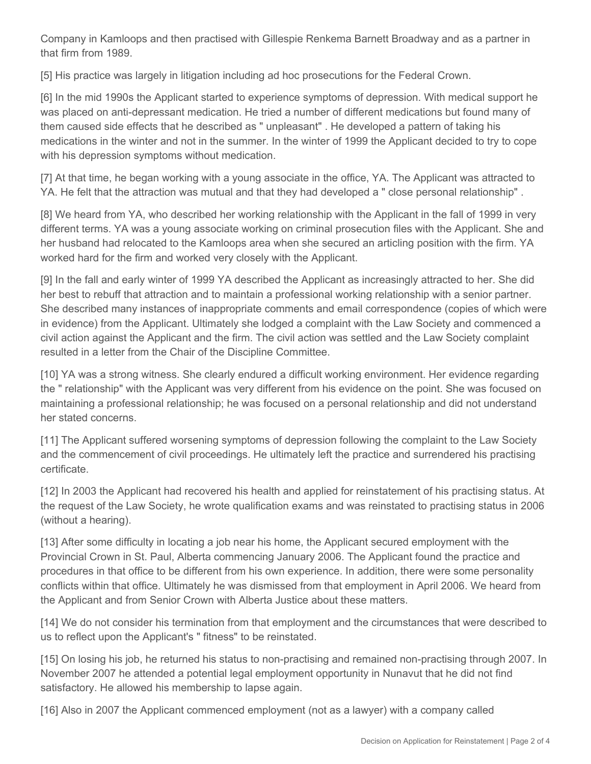Company in Kamloops and then practised with Gillespie Renkema Barnett Broadway and as a partner in that firm from 1989.

[5] His practice was largely in litigation including ad hoc prosecutions for the Federal Crown.

[6] In the mid 1990s the Applicant started to experience symptoms of depression. With medical support he was placed on anti-depressant medication. He tried a number of different medications but found many of them caused side effects that he described as " unpleasant" . He developed a pattern of taking his medications in the winter and not in the summer. In the winter of 1999 the Applicant decided to try to cope with his depression symptoms without medication.

[7] At that time, he began working with a young associate in the office, YA. The Applicant was attracted to YA. He felt that the attraction was mutual and that they had developed a " close personal relationship" .

[8] We heard from YA, who described her working relationship with the Applicant in the fall of 1999 in very different terms. YA was a young associate working on criminal prosecution files with the Applicant. She and her husband had relocated to the Kamloops area when she secured an articling position with the firm. YA worked hard for the firm and worked very closely with the Applicant.

[9] In the fall and early winter of 1999 YA described the Applicant as increasingly attracted to her. She did her best to rebuff that attraction and to maintain a professional working relationship with a senior partner. She described many instances of inappropriate comments and email correspondence (copies of which were in evidence) from the Applicant. Ultimately she lodged a complaint with the Law Society and commenced a civil action against the Applicant and the firm. The civil action was settled and the Law Society complaint resulted in a letter from the Chair of the Discipline Committee.

[10] YA was a strong witness. She clearly endured a difficult working environment. Her evidence regarding the " relationship" with the Applicant was very different from his evidence on the point. She was focused on maintaining a professional relationship; he was focused on a personal relationship and did not understand her stated concerns.

[11] The Applicant suffered worsening symptoms of depression following the complaint to the Law Society and the commencement of civil proceedings. He ultimately left the practice and surrendered his practising certificate.

[12] In 2003 the Applicant had recovered his health and applied for reinstatement of his practising status. At the request of the Law Society, he wrote qualification exams and was reinstated to practising status in 2006 (without a hearing).

[13] After some difficulty in locating a job near his home, the Applicant secured employment with the Provincial Crown in St. Paul, Alberta commencing January 2006. The Applicant found the practice and procedures in that office to be different from his own experience. In addition, there were some personality conflicts within that office. Ultimately he was dismissed from that employment in April 2006. We heard from the Applicant and from Senior Crown with Alberta Justice about these matters.

[14] We do not consider his termination from that employment and the circumstances that were described to us to reflect upon the Applicant's " fitness" to be reinstated.

[15] On losing his job, he returned his status to non-practising and remained non-practising through 2007. In November 2007 he attended a potential legal employment opportunity in Nunavut that he did not find satisfactory. He allowed his membership to lapse again.

[16] Also in 2007 the Applicant commenced employment (not as a lawyer) with a company called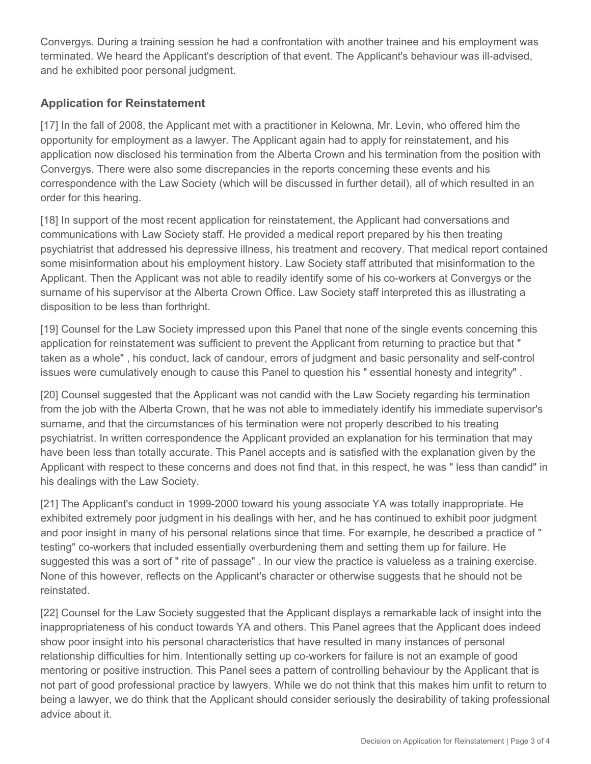Convergys. During a training session he had a confrontation with another trainee and his employment was terminated. We heard the Applicant's description of that event. The Applicant's behaviour was ill-advised, and he exhibited poor personal judgment.

## **Application for Reinstatement**

[17] In the fall of 2008, the Applicant met with a practitioner in Kelowna, Mr. Levin, who offered him the opportunity for employment as a lawyer. The Applicant again had to apply for reinstatement, and his application now disclosed his termination from the Alberta Crown and his termination from the position with Convergys. There were also some discrepancies in the reports concerning these events and his correspondence with the Law Society (which will be discussed in further detail), all of which resulted in an order for this hearing.

[18] In support of the most recent application for reinstatement, the Applicant had conversations and communications with Law Society staff. He provided a medical report prepared by his then treating psychiatrist that addressed his depressive illness, his treatment and recovery. That medical report contained some misinformation about his employment history. Law Society staff attributed that misinformation to the Applicant. Then the Applicant was not able to readily identify some of his co-workers at Convergys or the surname of his supervisor at the Alberta Crown Office. Law Society staff interpreted this as illustrating a disposition to be less than forthright.

[19] Counsel for the Law Society impressed upon this Panel that none of the single events concerning this application for reinstatement was sufficient to prevent the Applicant from returning to practice but that " taken as a whole" , his conduct, lack of candour, errors of judgment and basic personality and self-control issues were cumulatively enough to cause this Panel to question his " essential honesty and integrity" .

[20] Counsel suggested that the Applicant was not candid with the Law Society regarding his termination from the job with the Alberta Crown, that he was not able to immediately identify his immediate supervisor's surname, and that the circumstances of his termination were not properly described to his treating psychiatrist. In written correspondence the Applicant provided an explanation for his termination that may have been less than totally accurate. This Panel accepts and is satisfied with the explanation given by the Applicant with respect to these concerns and does not find that, in this respect, he was " less than candid" in his dealings with the Law Society.

[21] The Applicant's conduct in 1999-2000 toward his young associate YA was totally inappropriate. He exhibited extremely poor judgment in his dealings with her, and he has continued to exhibit poor judgment and poor insight in many of his personal relations since that time. For example, he described a practice of " testing" co-workers that included essentially overburdening them and setting them up for failure. He suggested this was a sort of " rite of passage" . In our view the practice is valueless as a training exercise. None of this however, reflects on the Applicant's character or otherwise suggests that he should not be reinstated.

[22] Counsel for the Law Society suggested that the Applicant displays a remarkable lack of insight into the inappropriateness of his conduct towards YA and others. This Panel agrees that the Applicant does indeed show poor insight into his personal characteristics that have resulted in many instances of personal relationship difficulties for him. Intentionally setting up co-workers for failure is not an example of good mentoring or positive instruction. This Panel sees a pattern of controlling behaviour by the Applicant that is not part of good professional practice by lawyers. While we do not think that this makes him unfit to return to being a lawyer, we do think that the Applicant should consider seriously the desirability of taking professional advice about it.